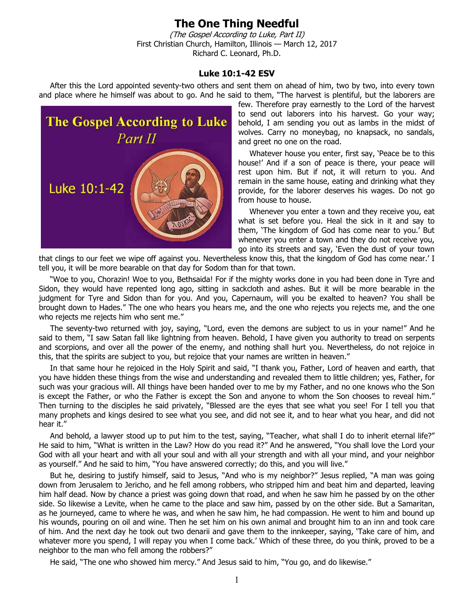## **The One Thing Needful**

(The Gospel According to Luke, Part II) First Christian Church, Hamilton, Illinois — March 12, 2017 Richard C. Leonard, Ph.D.

## **Luke 10:1-42 ESV**

After this the Lord appointed seventy-two others and sent them on ahead of him, two by two, into every town and place where he himself was about to go. And he said to them, "The harvest is plentiful, but the laborers are



few. Therefore pray earnestly to the Lord of the harvest to send out laborers into his harvest. Go your way; behold, I am sending you out as lambs in the midst of wolves. Carry no moneybag, no knapsack, no sandals, and greet no one on the road.

Whatever house you enter, first say, 'Peace be to this house!' And if a son of peace is there, your peace will rest upon him. But if not, it will return to you. And remain in the same house, eating and drinking what they provide, for the laborer deserves his wages. Do not go from house to house.

Whenever you enter a town and they receive you, eat what is set before you. Heal the sick in it and say to them, 'The kingdom of God has come near to you.' But whenever you enter a town and they do not receive you, go into its streets and say, 'Even the dust of your town

that clings to our feet we wipe off against you. Nevertheless know this, that the kingdom of God has come near.' I tell you, it will be more bearable on that day for Sodom than for that town.

"Woe to you, Chorazin! Woe to you, Bethsaida! For if the mighty works done in you had been done in Tyre and Sidon, they would have repented long ago, sitting in sackcloth and ashes. But it will be more bearable in the judgment for Tyre and Sidon than for you. And you, Capernaum, will you be exalted to heaven? You shall be brought down to Hades." The one who hears you hears me, and the one who rejects you rejects me, and the one who rejects me rejects him who sent me."

The seventy-two returned with joy, saying, "Lord, even the demons are subject to us in your name!" And he said to them, "I saw Satan fall like lightning from heaven. Behold, I have given you authority to tread on serpents and scorpions, and over all the power of the enemy, and nothing shall hurt you. Nevertheless, do not rejoice in this, that the spirits are subject to you, but rejoice that your names are written in heaven."

In that same hour he rejoiced in the Holy Spirit and said, "I thank you, Father, Lord of heaven and earth, that you have hidden these things from the wise and understanding and revealed them to little children; yes, Father, for such was your gracious will. All things have been handed over to me by my Father, and no one knows who the Son is except the Father, or who the Father is except the Son and anyone to whom the Son chooses to reveal him." Then turning to the disciples he said privately, "Blessed are the eyes that see what you see! For I tell you that many prophets and kings desired to see what you see, and did not see it, and to hear what you hear, and did not hear it."

And behold, a lawyer stood up to put him to the test, saying, "Teacher, what shall I do to inherit eternal life?" He said to him, "What is written in the Law? How do you read it?" And he answered, "You shall love the Lord your God with all your heart and with all your soul and with all your strength and with all your mind, and your neighbor as yourself." And he said to him, "You have answered correctly; do this, and you will live."

But he, desiring to justify himself, said to Jesus, "And who is my neighbor?" Jesus replied, "A man was going down from Jerusalem to Jericho, and he fell among robbers, who stripped him and beat him and departed, leaving him half dead. Now by chance a priest was going down that road, and when he saw him he passed by on the other side. So likewise a Levite, when he came to the place and saw him, passed by on the other side. But a Samaritan, as he journeyed, came to where he was, and when he saw him, he had compassion. He went to him and bound up his wounds, pouring on oil and wine. Then he set him on his own animal and brought him to an inn and took care of him. And the next day he took out two denarii and gave them to the innkeeper, saying, 'Take care of him, and whatever more you spend, I will repay you when I come back.' Which of these three, do you think, proved to be a neighbor to the man who fell among the robbers?"

He said, "The one who showed him mercy." And Jesus said to him, "You go, and do likewise."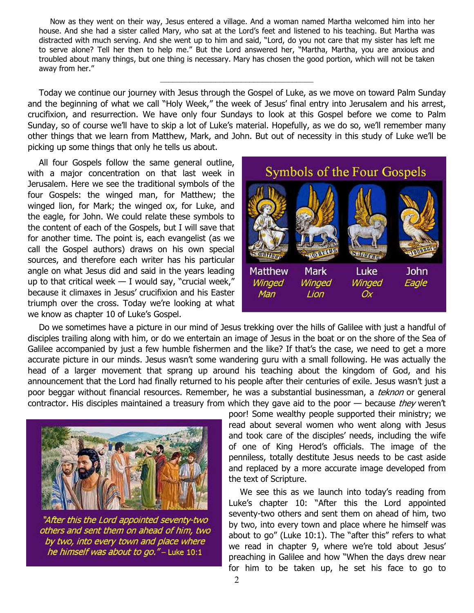Now as they went on their way, Jesus entered a village. And a woman named Martha welcomed him into her house. And she had a sister called Mary, who sat at the Lord's feet and listened to his teaching. But Martha was distracted with much serving. And she went up to him and said, "Lord, do you not care that my sister has left me to serve alone? Tell her then to help me." But the Lord answered her, "Martha, Martha, you are anxious and troubled about many things, but one thing is necessary. Mary has chosen the good portion, which will not be taken away from her."

\_\_\_\_\_\_\_\_\_\_\_\_\_\_\_\_\_\_\_\_\_\_\_\_\_\_\_\_\_\_\_\_\_\_\_\_

Today we continue our journey with Jesus through the Gospel of Luke, as we move on toward Palm Sunday and the beginning of what we call "Holy Week," the week of Jesus' final entry into Jerusalem and his arrest, crucifixion, and resurrection. We have only four Sundays to look at this Gospel before we come to Palm Sunday, so of course we'll have to skip a lot of Luke's material. Hopefully, as we do so, we'll remember many other things that we learn from Matthew, Mark, and John. But out of necessity in this study of Luke we'll be picking up some things that only he tells us about.

All four Gospels follow the same general outline, with a major concentration on that last week in Jerusalem. Here we see the traditional symbols of the four Gospels: the winged man, for Matthew; the winged lion, for Mark; the winged ox, for Luke, and the eagle, for John. We could relate these symbols to the content of each of the Gospels, but I will save that for another time. The point is, each evangelist (as we call the Gospel authors) draws on his own special sources, and therefore each writer has his particular angle on what Jesus did and said in the years leading up to that critical week  $-$  I would say, "crucial week," because it climaxes in Jesus' crucifixion and his Easter triumph over the cross. Today we're looking at what we know as chapter 10 of Luke's Gospel.



Do we sometimes have a picture in our mind of Jesus trekking over the hills of Galilee with just a handful of disciples trailing along with him, or do we entertain an image of Jesus in the boat or on the shore of the Sea of Galilee accompanied by just a few humble fishermen and the like? If that's the case, we need to get a more accurate picture in our minds. Jesus wasn't some wandering guru with a small following. He was actually the head of a larger movement that sprang up around his teaching about the kingdom of God, and his announcement that the Lord had finally returned to his people after their centuries of exile. Jesus wasn't just a poor beggar without financial resources. Remember, he was a substantial businessman, a *teknon* or general contractor. His disciples maintained a treasury from which they gave aid to the poor — because they weren't



"After this the Lord appointed seventy-two others and sent them on ahead of him, two by two, into every town and place where he himself was about to go." - Luke 10:1

poor! Some wealthy people supported their ministry; we read about several women who went along with Jesus and took care of the disciples' needs, including the wife of one of King Herod's officials. The image of the penniless, totally destitute Jesus needs to be cast aside and replaced by a more accurate image developed from the text of Scripture.

We see this as we launch into today's reading from Luke's chapter 10: "After this the Lord appointed seventy-two others and sent them on ahead of him, two by two, into every town and place where he himself was about to go" (Luke 10:1). The "after this" refers to what we read in chapter 9, where we're told about Jesus' preaching in Galilee and how "When the days drew near for him to be taken up, he set his face to go to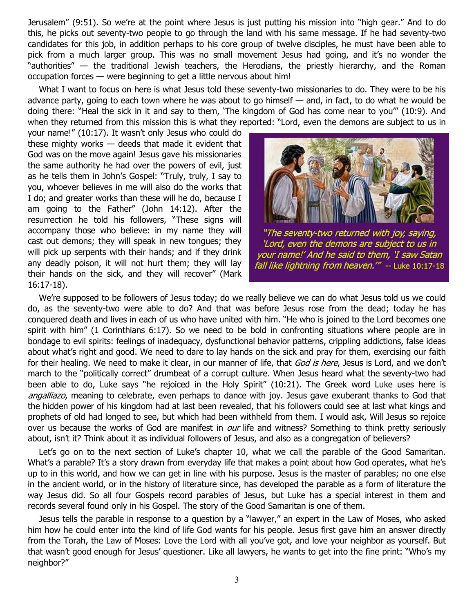Jerusalem" (9:51). So we're at the point where Jesus is just putting his mission into "high gear." And to do this, he picks out seventy-two people to go through the land with his same message. If he had seventy-two candidates for this job, in addition perhaps to his core group of twelve disciples, he must have been able to pick from a much larger group. This was no small movement Jesus had going, and it's no wonder the "authorities" — the traditional Jewish teachers, the Herodians, the priestly hierarchy, and the Roman occupation forces — were beginning to get a little nervous about him!

What I want to focus on here is what Jesus told these seventy-two missionaries to do. They were to be his advance party, going to each town where he was about to go himself — and, in fact, to do what he would be doing there: "Heal the sick in it and say to them, 'The kingdom of God has come near to you'" (10:9). And when they returned from this mission this is what they reported: "Lord, even the demons are subject to us in

your name!" (10:17). It wasn't only Jesus who could do these mighty works — deeds that made it evident that God was on the move again! Jesus gave his missionaries the same authority he had over the powers of evil, just as he tells them in John's Gospel: "Truly, truly, I say to you, whoever believes in me will also do the works that I do; and greater works than these will he do, because I am going to the Father" (John 14:12). After the resurrection he told his followers, "These signs will accompany those who believe: in my name they will cast out demons; they will speak in new tongues; they will pick up serpents with their hands; and if they drink any deadly poison, it will not hurt them; they will lay their hands on the sick, and they will recover" (Mark 16:17-18).



"The seventy-two returned with joy, saying, 'Lord, even the demons are subject to us in your name!' And he said to them, 'I saw Satan fall like lightning from heaven."" -- Luke 10:17-18

We're supposed to be followers of Jesus today; do we really believe we can do what Jesus told us we could do, as the seventy-two were able to do? And that was before Jesus rose from the dead; today he has conquered death and lives in each of us who have united with him. "He who is joined to the Lord becomes one spirit with him" (1 Corinthians 6:17). So we need to be bold in confronting situations where people are in bondage to evil spirits: feelings of inadequacy, dysfunctional behavior patterns, crippling addictions, false ideas about what's right and good. We need to dare to lay hands on the sick and pray for them, exercising our faith for their healing. We need to make it clear, in our manner of life, that God is here, Jesus is Lord, and we don't march to the "politically correct" drumbeat of a corrupt culture. When Jesus heard what the seventy-two had been able to do, Luke says "he rejoiced in the Holy Spirit" (10:21). The Greek word Luke uses here is angalliazo, meaning to celebrate, even perhaps to dance with joy. Jesus gave exuberant thanks to God that the hidden power of his kingdom had at last been revealed, that his followers could see at last what kings and prophets of old had longed to see, but which had been withheld from them. I would ask, Will Jesus so rejoice over us because the works of God are manifest in our life and witness? Something to think pretty seriously about, isn't it? Think about it as individual followers of Jesus, and also as a congregation of believers?

Let's go on to the next section of Luke's chapter 10, what we call the parable of the Good Samaritan. What's a parable? It's a story drawn from everyday life that makes a point about how God operates, what he's up to in this world, and how we can get in line with his purpose. Jesus is the master of parables; no one else in the ancient world, or in the history of literature since, has developed the parable as a form of literature the way Jesus did. So all four Gospels record parables of Jesus, but Luke has a special interest in them and records several found only in his Gospel. The story of the Good Samaritan is one of them.

Jesus tells the parable in response to a question by a "lawyer," an expert in the Law of Moses, who asked him how he could enter into the kind of life God wants for his people. Jesus first gave him an answer directly from the Torah, the Law of Moses: Love the Lord with all you've got, and love your neighbor as yourself. But that wasn't good enough for Jesus' questioner. Like all lawyers, he wants to get into the fine print: "Who's my neighbor?"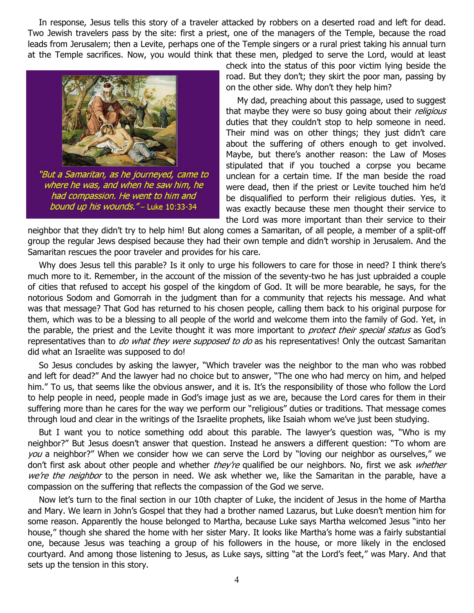In response, Jesus tells this story of a traveler attacked by robbers on a deserted road and left for dead. Two Jewish travelers pass by the site: first a priest, one of the managers of the Temple, because the road leads from Jerusalem; then a Levite, perhaps one of the Temple singers or a rural priest taking his annual turn at the Temple sacrifices. Now, you would think that these men, pledged to serve the Lord, would at least



"But a Samaritan, as he journeyed, came to where he was, and when he saw him, he had compassion. He went to him and bound up his wounds."- Luke 10:33-34

check into the status of this poor victim lying beside the road. But they don't; they skirt the poor man, passing by on the other side. Why don't they help him?

My dad, preaching about this passage, used to suggest that maybe they were so busy going about their religious duties that they couldn't stop to help someone in need. Their mind was on other things; they just didn't care about the suffering of others enough to get involved. Maybe, but there's another reason: the Law of Moses stipulated that if you touched a corpse you became unclean for a certain time. If the man beside the road were dead, then if the priest or Levite touched him he'd be disqualified to perform their religious duties. Yes, it was exactly because these men thought their service to the Lord was more important than their service to their

neighbor that they didn't try to help him! But along comes a Samaritan, of all people, a member of a split-off group the regular Jews despised because they had their own temple and didn't worship in Jerusalem. And the Samaritan rescues the poor traveler and provides for his care.

Why does Jesus tell this parable? Is it only to urge his followers to care for those in need? I think there's much more to it. Remember, in the account of the mission of the seventy-two he has just upbraided a couple of cities that refused to accept his gospel of the kingdom of God. It will be more bearable, he says, for the notorious Sodom and Gomorrah in the judgment than for a community that rejects his message. And what was that message? That God has returned to his chosen people, calling them back to his original purpose for them, which was to be a blessing to all people of the world and welcome them into the family of God. Yet, in the parable, the priest and the Levite thought it was more important to *protect their special status* as God's representatives than to *do what they were supposed to do* as his representatives! Only the outcast Samaritan did what an Israelite was supposed to do!

So Jesus concludes by asking the lawyer, "Which traveler was the neighbor to the man who was robbed and left for dead?" And the lawyer had no choice but to answer, "The one who had mercy on him, and helped him." To us, that seems like the obvious answer, and it is. It's the responsibility of those who follow the Lord to help people in need, people made in God's image just as we are, because the Lord cares for them in their suffering more than he cares for the way we perform our "religious" duties or traditions. That message comes through loud and clear in the writings of the Israelite prophets, like Isaiah whom we've just been studying.

But I want you to notice something odd about this parable. The lawyer's question was, "Who is my neighbor?" But Jesus doesn't answer that question. Instead he answers a different question: "To whom are you a neighbor?" When we consider how we can serve the Lord by "loving our neighbor as ourselves," we don't first ask about other people and whether *they're* qualified be our neighbors. No, first we ask *whether* we're the neighbor to the person in need. We ask whether we, like the Samaritan in the parable, have a compassion on the suffering that reflects the compassion of the God we serve.

Now let's turn to the final section in our 10th chapter of Luke, the incident of Jesus in the home of Martha and Mary. We learn in John's Gospel that they had a brother named Lazarus, but Luke doesn't mention him for some reason. Apparently the house belonged to Martha, because Luke says Martha welcomed Jesus "into her house," though she shared the home with her sister Mary. It looks like Martha's home was a fairly substantial one, because Jesus was teaching a group of his followers in the house, or more likely in the enclosed courtyard. And among those listening to Jesus, as Luke says, sitting "at the Lord's feet," was Mary. And that sets up the tension in this story.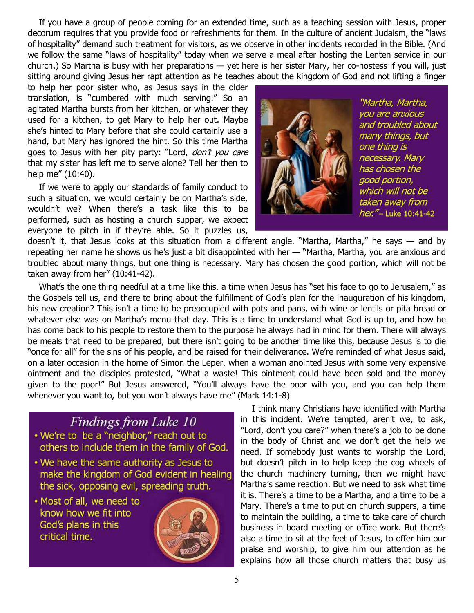If you have a group of people coming for an extended time, such as a teaching session with Jesus, proper decorum requires that you provide food or refreshments for them. In the culture of ancient Judaism, the "laws of hospitality" demand such treatment for visitors, as we observe in other incidents recorded in the Bible. (And we follow the same "laws of hospitality" today when we serve a meal after hosting the Lenten service in our church.) So Martha is busy with her preparations — yet here is her sister Mary, her co-hostess if you will, just sitting around giving Jesus her rapt attention as he teaches about the kingdom of God and not lifting a finger

to help her poor sister who, as Jesus says in the older translation, is "cumbered with much serving." So an agitated Martha bursts from her kitchen, or whatever they used for a kitchen, to get Mary to help her out. Maybe she's hinted to Mary before that she could certainly use a hand, but Mary has ignored the hint. So this time Martha goes to Jesus with her pity party: "Lord, *don't you care* that my sister has left me to serve alone? Tell her then to help me" (10:40).

If we were to apply our standards of family conduct to such a situation, we would certainly be on Martha's side, wouldn't we? When there's a task like this to be performed, such as hosting a church supper, we expect everyone to pitch in if they're able. So it puzzles us,



"Martha, Martha, *vou are anxious* and troubled about many things, but one thing is necessary. Mary has chosen the good portion, which will not be taken away from her."- Luke 10:41-42

doesn't it, that Jesus looks at this situation from a different angle. "Martha, Martha," he says — and by repeating her name he shows us he's just a bit disappointed with her — "Martha, Martha, you are anxious and troubled about many things, but one thing is necessary. Mary has chosen the good portion, which will not be taken away from her" (10:41-42).

What's the one thing needful at a time like this, a time when Jesus has "set his face to go to Jerusalem," as the Gospels tell us, and there to bring about the fulfillment of God's plan for the inauguration of his kingdom, his new creation? This isn't a time to be preoccupied with pots and pans, with wine or lentils or pita bread or whatever else was on Martha's menu that day. This is a time to understand what God is up to, and how he has come back to his people to restore them to the purpose he always had in mind for them. There will always be meals that need to be prepared, but there isn't going to be another time like this, because Jesus is to die "once for all" for the sins of his people, and be raised for their deliverance. We're reminded of what Jesus said, on a later occasion in the home of Simon the Leper, when a woman anointed Jesus with some very expensive ointment and the disciples protested, "What a waste! This ointment could have been sold and the money given to the poor!" But Jesus answered, "You'll always have the poor with you, and you can help them whenever you want to, but you won't always have me" (Mark 14:1-8)

## Findings from Luke 10

- . We're to be a "neighbor," reach out to others to include them in the family of God.
- . We have the same authority as Jesus to make the kingdom of God evident in healing the sick, opposing evil, spreading truth.
- · Most of all, we need to know how we fit into God's plans in this critical time.



I think many Christians have identified with Martha in this incident. We're tempted, aren't we, to ask, "Lord, don't you care?" when there's a job to be done in the body of Christ and we don't get the help we need. If somebody just wants to worship the Lord, but doesn't pitch in to help keep the cog wheels of the church machinery turning, then we might have Martha's same reaction. But we need to ask what time it is. There's a time to be a Martha, and a time to be a Mary. There's a time to put on church suppers, a time to maintain the building, a time to take care of church business in board meeting or office work. But there's also a time to sit at the feet of Jesus, to offer him our praise and worship, to give him our attention as he explains how all those church matters that busy us